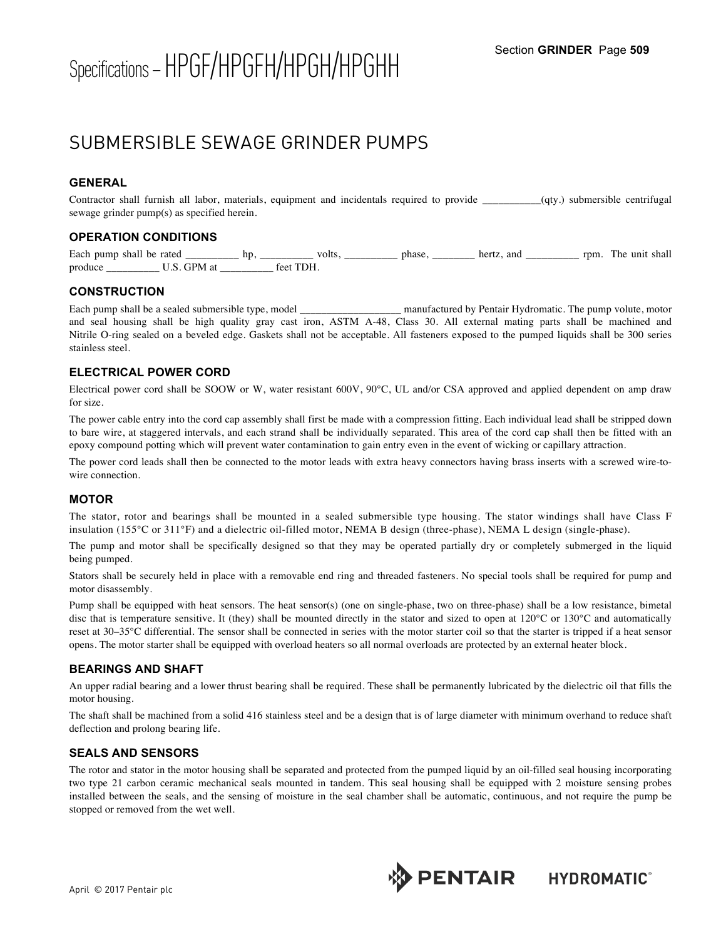# Specifications –HPGF/HPGFH/HPGH/HPGHH Section **GRINDER** Page **<sup>509</sup>**

# SUBMERSIBLE SEWAGE GRINDER PUMPS

# **GENERAL**

Contractor shall furnish all labor, materials, equipment and incidentals required to provide \_\_\_\_\_\_\_\_\_\_\_(qty.) submersible centrifugal sewage grinder pump(s) as specified herein.

## **OPERATION CONDITIONS**

Each pump shall be rated \_\_\_\_\_\_\_\_\_\_ hp, \_\_\_\_\_\_\_\_\_\_ volts, \_\_\_\_\_\_\_\_\_\_\_ phase, \_\_\_\_\_\_\_\_ hertz, and \_\_\_\_\_\_\_\_\_ rpm. The unit shall produce \_\_\_\_\_\_\_\_\_\_\_\_\_\_\_ U.S. GPM at \_\_\_\_\_\_\_\_\_\_\_\_ feet TDH.

#### **CONSTRUCTION**

Each pump shall be a sealed submersible type, model **Each pump volute, model** manufactured by Pentair Hydromatic. The pump volute, motor and seal housing shall be high quality gray cast iron, ASTM A-48, Class 30. All external mating parts shall be machined and Nitrile O-ring sealed on a beveled edge. Gaskets shall not be acceptable. All fasteners exposed to the pumped liquids shall be 300 series stainless steel.

## **ELECTRICAL POWER CORD**

Electrical power cord shall be SOOW or W, water resistant 600V, 90°C, UL and/or CSA approved and applied dependent on amp draw for size.

The power cable entry into the cord cap assembly shall first be made with a compression fitting. Each individual lead shall be stripped down to bare wire, at staggered intervals, and each strand shall be individually separated. This area of the cord cap shall then be fitted with an epoxy compound potting which will prevent water contamination to gain entry even in the event of wicking or capillary attraction.

The power cord leads shall then be connected to the motor leads with extra heavy connectors having brass inserts with a screwed wire-towire connection.

#### **MOTOR**

The stator, rotor and bearings shall be mounted in a sealed submersible type housing. The stator windings shall have Class F insulation (155°C or 311°F) and a dielectric oil-filled motor, NEMA B design (three-phase), NEMA L design (single-phase).

The pump and motor shall be specifically designed so that they may be operated partially dry or completely submerged in the liquid being pumped.

Stators shall be securely held in place with a removable end ring and threaded fasteners. No special tools shall be required for pump and motor disassembly.

Pump shall be equipped with heat sensors. The heat sensor(s) (one on single-phase, two on three-phase) shall be a low resistance, bimetal disc that is temperature sensitive. It (they) shall be mounted directly in the stator and sized to open at 120°C or 130°C and automatically reset at 30–35°C differential. The sensor shall be connected in series with the motor starter coil so that the starter is tripped if a heat sensor opens. The motor starter shall be equipped with overload heaters so all normal overloads are protected by an external heater block.

#### **BEARINGS AND SHAFT**

An upper radial bearing and a lower thrust bearing shall be required. These shall be permanently lubricated by the dielectric oil that fills the motor housing.

The shaft shall be machined from a solid 416 stainless steel and be a design that is of large diameter with minimum overhand to reduce shaft deflection and prolong bearing life.

#### **SEALS AND SENSORS**

April © 2017 Pentair plc

The rotor and stator in the motor housing shall be separated and protected from the pumped liquid by an oil-filled seal housing incorporating two type 21 carbon ceramic mechanical seals mounted in tandem. This seal housing shall be equipped with 2 moisture sensing probes installed between the seals, and the sensing of moisture in the seal chamber shall be automatic, continuous, and not require the pump be stopped or removed from the wet well.